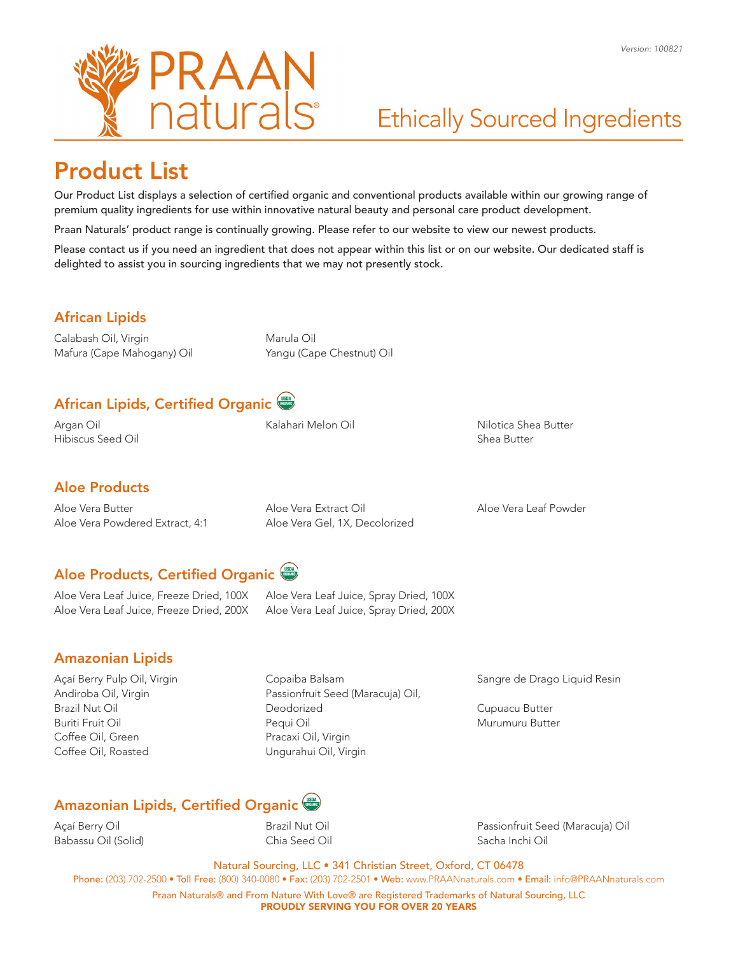

## Product List

Our Product List displays a selection of certified organic and conventional products available within our growing range of premium quality ingredients for use within innovative natural beauty and personal care product development.

Praan Naturals' product range is continually growing. Please refer to our website to view our newest products.

Please contact us if you need an ingredient that does not appear within this list or on our website. Our dedicated staff is delighted to assist you in sourcing ingredients that we may not presently stock.

### African Lipids

Calabash Oil, Virgin Mafura (Cape Mahogany) Oil Marula Oil Yangu (Cape Chestnut) Oil

### African Lipids, Certified Organic

Argan Oil Hibiscus Seed Oil Kalahari Melon Oil Nilotica Shea Butter

Shea Butter

#### Aloe Products

Aloe Vera Butter Aloe Vera Powdered Extract, 4:1 Aloe Vera Extract Oil Aloe Vera Gel, 1X, Decolorized Aloe Vera Leaf Powder

### Aloe Products, Certified Organic

Aloe Vera Leaf Juice, Freeze Dried, 100X Aloe Vera Leaf Juice, Freeze Dried, 200X Aloe Vera Leaf Juice, Spray Dried, 100X Aloe Vera Leaf Juice, Spray Dried, 200X

#### Amazonian Lipids

Açaí Berry Pulp Oil, Virgin Andiroba Oil, Virgin Brazil Nut Oil Buriti Fruit Oil Coffee Oil, Green Coffee Oil, Roasted

Copaiba Balsam Passionfruit Seed (Maracuja) Oil, Deodorized Pequi Oil Pracaxi Oil, Virgin Ungurahui Oil, Virgin

Sangre de Drago Liquid Resin

Cupuacu Butter Murumuru Butter

### Amazonian Lipids, Certified Organic

Açaí Berry Oil Babassu Oil (Solid) Brazil Nut Oil Chia Seed Oil Passionfruit Seed (Maracuja) Oil Sacha Inchi Oil

Natural Sourcing, LLC • 341 Christian Street, Oxford, CT 06478

Phone: (203) 702-2500 • Toll Free: (800) 340-0080 • Fax: (203) 702-2501 • Web: www.PRAANnaturals.com • Email: info@PRAANnaturals.com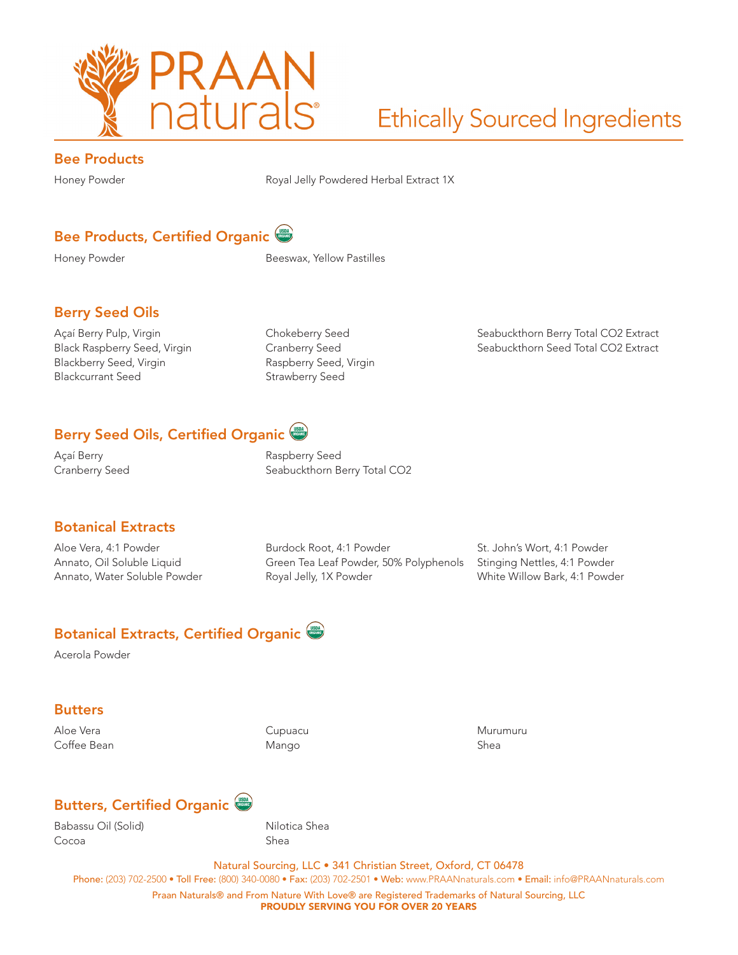

#### Bee Products

Honey Powder **Royal Jelly Powdered Herbal Extract 1X** 

### Bee Products, Certified Organic

Honey Powder **Beeswax**, Yellow Pastilles

### Berry Seed Oils

Açaí Berry Pulp, Virgin Black Raspberry Seed, Virgin Blackberry Seed, Virgin Blackcurrant Seed

Chokeberry Seed Cranberry Seed Raspberry Seed, Virgin Strawberry Seed

Seabuckthorn Berry Total CO2 Extract Seabuckthorn Seed Total CO2 Extract

### Berry Seed Oils, Certified Organic

Açaí Berry Cranberry Seed Raspberry Seed Seabuckthorn Berry Total CO2

#### Botanical Extracts

Aloe Vera, 4:1 Powder Annato, Oil Soluble Liquid Annato, Water Soluble Powder Burdock Root, 4:1 Powder Green Tea Leaf Powder, 50% Polyphenols Royal Jelly, 1X Powder

St. John's Wort, 4:1 Powder Stinging Nettles, 4:1 Powder White Willow Bark, 4:1 Powder

### Botanical Extracts, Certified Organic

Acerola Powder

#### **Butters**

Aloe Vera Coffee Bean Cupuacu Mango

Murumuru Shea

### Butters, Certified Organic

Babassu Oil (Solid) Cocoa

Nilotica Shea Shea

Natural Sourcing, LLC • 341 Christian Street, Oxford, CT 06478 Phone: (203) 702-2500 • Toll Free: (800) 340-0080 • Fax: (203) 702-2501 • Web: www.PRAANnaturals.com • Email: info@PRAANnaturals.com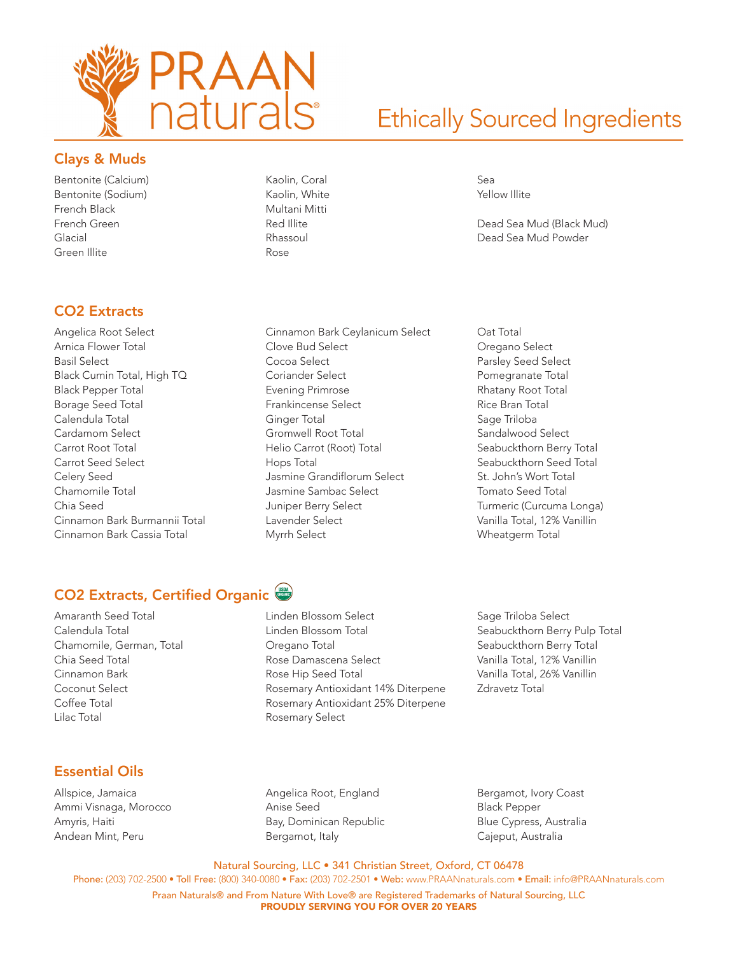

Dead Sea Mud (Black Mud) Dead Sea Mud Powder

Sea Yellow Illite

#### Clays & Muds

Bentonite (Calcium) Bentonite (Sodium) French Black French Green Glacial Green Illite

### CO2 Extracts

- Angelica Root Select Arnica Flower Total Basil Select Black Cumin Total, High TQ Black Pepper Total Borage Seed Total Calendula Total Cardamom Select Carrot Root Total Carrot Seed Select Celery Seed Chamomile Total Chia Seed Cinnamon Bark Burmannii Total Cinnamon Bark Cassia Total
- Kaolin, Coral Kaolin, White Multani Mitti Red Illite Rhassoul Rose

Cinnamon Bark Ceylanicum Select Clove Bud Select Cocoa Select Coriander Select Evening Primrose Frankincense Select Ginger Total Gromwell Root Total Helio Carrot (Root) Total Hops Total Jasmine Grandiflorum Select Jasmine Sambac Select Juniper Berry Select Lavender Select Myrrh Select

Oat Total Oregano Select Parsley Seed Select Pomegranate Total Rhatany Root Total Rice Bran Total Sage Triloba Sandalwood Select Seabuckthorn Berry Total Seabuckthorn Seed Total St. John's Wort Total Tomato Seed Total Turmeric (Curcuma Longa) Vanilla Total, 12% Vanillin Wheatgerm Total

## CO2 Extracts, Certified Organic

Amaranth Seed Total Calendula Total Chamomile, German, Total Chia Seed Total Cinnamon Bark Coconut Select Coffee Total Lilac Total

Linden Blossom Select Linden Blossom Total Oregano Total Rose Damascena Select Rose Hip Seed Total Rosemary Antioxidant 14% Diterpene Rosemary Antioxidant 25% Diterpene Rosemary Select

Sage Triloba Select Seabuckthorn Berry Pulp Total Seabuckthorn Berry Total Vanilla Total, 12% Vanillin Vanilla Total, 26% Vanillin Zdravetz Total

#### Essential Oils

Allspice, Jamaica Ammi Visnaga, Morocco Amyris, Haiti Andean Mint, Peru

Angelica Root, England Anise Seed Bay, Dominican Republic Bergamot, Italy

Bergamot, Ivory Coast Black Pepper Blue Cypress, Australia Cajeput, Australia

Natural Sourcing, LLC • 341 Christian Street, Oxford, CT 06478

Phone: (203) 702-2500 • Toll Free: (800) 340-0080 • Fax: (203) 702-2501 • Web: www.PRAANnaturals.com • Email: info@PRAANnaturals.com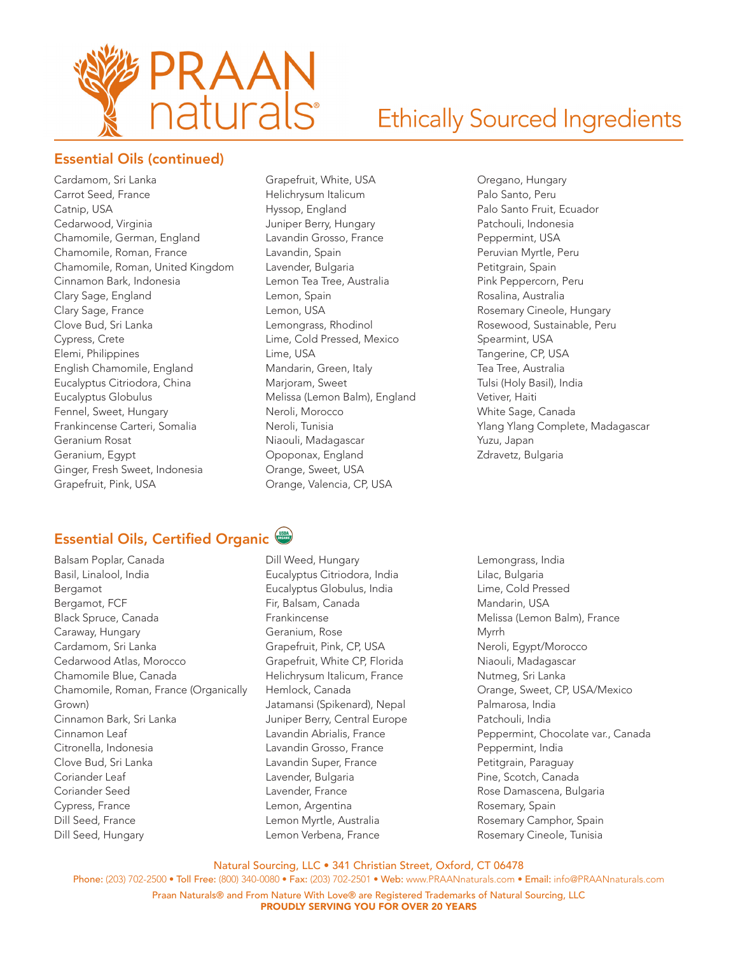

### Essential Oils (continued)

Cardamom, Sri Lanka Carrot Seed, France Catnip, USA Cedarwood, Virginia Chamomile, German, England Chamomile, Roman, France Chamomile, Roman, United Kingdom Cinnamon Bark, Indonesia Clary Sage, England Clary Sage, France Clove Bud, Sri Lanka Cypress, Crete Elemi, Philippines English Chamomile, England Eucalyptus Citriodora, China Eucalyptus Globulus Fennel, Sweet, Hungary Frankincense Carteri, Somalia Geranium Rosat Geranium, Egypt Ginger, Fresh Sweet, Indonesia Grapefruit, Pink, USA

- Grapefruit, White, USA Helichrysum Italicum Hyssop, England Juniper Berry, Hungary Lavandin Grosso, France Lavandin, Spain Lavender, Bulgaria Lemon Tea Tree, Australia Lemon, Spain Lemon, USA Lemongrass, Rhodinol Lime, Cold Pressed, Mexico Lime, USA Mandarin, Green, Italy Marjoram, Sweet Melissa (Lemon Balm), England Neroli, Morocco Neroli, Tunisia Niaouli, Madagascar Opoponax, England Orange, Sweet, USA Orange, Valencia, CP, USA
- Oregano, Hungary Palo Santo, Peru Palo Santo Fruit, Ecuador Patchouli, Indonesia Peppermint, USA Peruvian Myrtle, Peru Petitgrain, Spain Pink Peppercorn, Peru Rosalina, Australia Rosemary Cineole, Hungary Rosewood, Sustainable, Peru Spearmint, USA Tangerine, CP, USA Tea Tree, Australia Tulsi (Holy Basil), India Vetiver, Haiti White Sage, Canada Ylang Ylang Complete, Madagascar Yuzu, Japan Zdravetz, Bulgaria

### Essential Oils, Certified Organic

Balsam Poplar, Canada Basil, Linalool, India Bergamot Bergamot, FCF Black Spruce, Canada Caraway, Hungary Cardamom, Sri Lanka Cedarwood Atlas, Morocco Chamomile Blue, Canada Chamomile, Roman, France (Organically Grown) Cinnamon Bark, Sri Lanka Cinnamon Leaf Citronella, Indonesia Clove Bud, Sri Lanka Coriander Leaf Coriander Seed Cypress, France Dill Seed, France Dill Seed, Hungary

#### Dill Weed, Hungary Eucalyptus Citriodora, India Eucalyptus Globulus, India Fir, Balsam, Canada Frankincense Geranium, Rose Grapefruit, Pink, CP, USA Grapefruit, White CP, Florida Helichrysum Italicum, France Hemlock, Canada Jatamansi (Spikenard), Nepal Juniper Berry, Central Europe Lavandin Abrialis, France Lavandin Grosso, France Lavandin Super, France Lavender, Bulgaria Lavender, France Lemon, Argentina Lemon Myrtle, Australia Lemon Verbena, France

Lemongrass, India Lilac, Bulgaria Lime, Cold Pressed Mandarin, USA Melissa (Lemon Balm), France Myrrh Neroli, Egypt/Morocco Niaouli, Madagascar Nutmeg, Sri Lanka Orange, Sweet, CP, USA/Mexico Palmarosa, India Patchouli, India Peppermint, Chocolate var., Canada Peppermint, India Petitgrain, Paraguay Pine, Scotch, Canada Rose Damascena, Bulgaria Rosemary, Spain Rosemary Camphor, Spain Rosemary Cineole, Tunisia

Natural Sourcing, LLC • 341 Christian Street, Oxford, CT 06478

Phone: (203) 702-2500 • Toll Free: (800) 340-0080 • Fax: (203) 702-2501 • Web: www.PRAANnaturals.com • Email: info@PRAANnaturals.com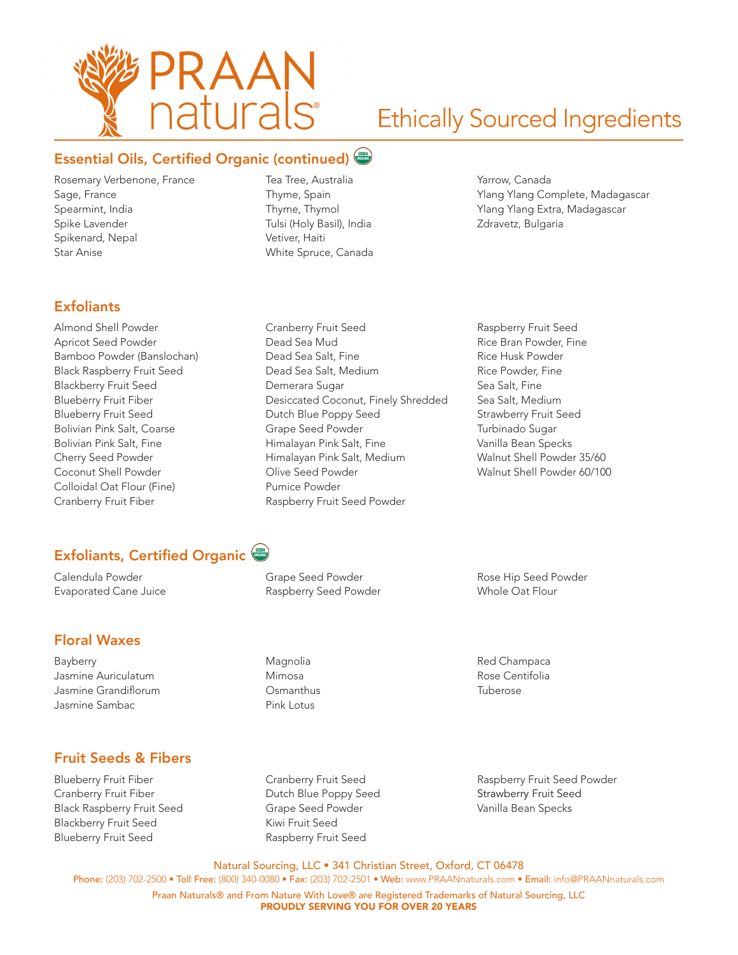

### Essential Oils, Certified Organic (continued)

Rosemary Verbenone, France Sage, France Spearmint, India Spike Lavender Spikenard, Nepal Star Anise

Tea Tree, Australia Thyme, Spain Thyme, Thymol Tulsi (Holy Basil), India Vetiver, Haiti White Spruce, Canada

Cranberry Fruit Seed Dead Sea Mud Dead Sea Salt, Fine Dead Sea Salt, Medium Demerara Sugar

Dutch Blue Poppy Seed Grape Seed Powder Himalayan Pink Salt, Fine Himalayan Pink Salt, Medium

Olive Seed Powder Pumice Powder

Grape Seed Powder Raspberry Seed Powder

Magnolia Mimosa **Osmanthus** Pink Lotus

Raspberry Fruit Seed Powder

Desiccated Coconut, Finely Shredded

Yarrow, Canada Ylang Ylang Complete, Madagascar Ylang Ylang Extra, Madagascar Zdravetz, Bulgaria

### **Exfoliants**

Almond Shell Powder Apricot Seed Powder Bamboo Powder (Banslochan) Black Raspberry Fruit Seed Blackberry Fruit Seed Blueberry Fruit Fiber Blueberry Fruit Seed Bolivian Pink Salt, Coarse Bolivian Pink Salt, Fine Cherry Seed Powder Coconut Shell Powder Colloidal Oat Flour (Fine) Cranberry Fruit Fiber

### Exfoliants, Certified Organic

Calendula Powder Evaporated Cane Juice

### Floral Waxes

Bayberry Jasmine Auriculatum Jasmine Grandiflorum Jasmine Sambac

### Fruit Seeds & Fibers

Blueberry Fruit Fiber Cranberry Fruit Fiber Black Raspberry Fruit Seed Blackberry Fruit Seed Blueberry Fruit Seed

Cranberry Fruit Seed Dutch Blue Poppy Seed Grape Seed Powder Kiwi Fruit Seed Raspberry Fruit Seed

Raspberry Fruit Seed Rice Bran Powder, Fine Rice Husk Powder Rice Powder, Fine Sea Salt, Fine Sea Salt, Medium Strawberry Fruit Seed Turbinado Sugar Vanilla Bean Specks Walnut Shell Powder 35/60 Walnut Shell Powder 60/100

Rose Hip Seed Powder Whole Oat Flour

Red Champaca Rose Centifolia Tuberose

Raspberry Fruit Seed Powder Strawberry Fruit Seed Vanilla Bean Specks

Natural Sourcing, LLC • 341 Christian Street, Oxford, CT 06478 Phone: (203) 702-2500 • Toll Free: (800) 340-0080 • Fax: (203) 702-2501 • Web: www.PRAANnaturals.com • Email: info@PRAANnaturals.com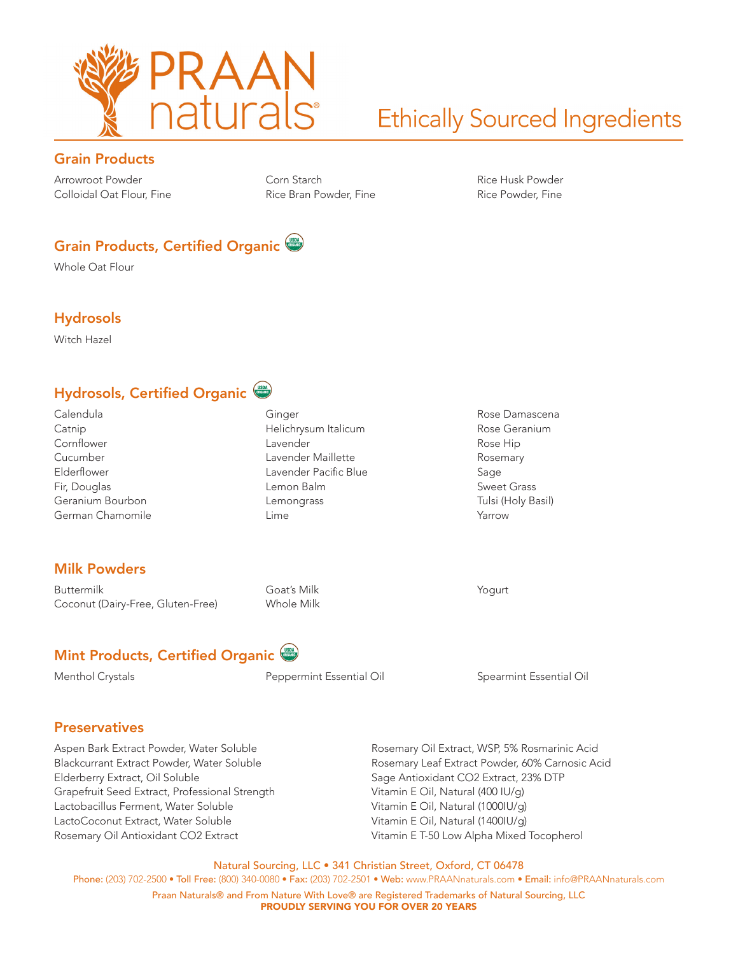

### Grain Products

Arrowroot Powder Colloidal Oat Flour, Fine Corn Starch Rice Bran Powder, Fine Rice Husk Powder Rice Powder, Fine

Rose Damascena Rose Geranium Rose Hip Rosemary Sage Sweet Grass Tulsi (Holy Basil)

Yarrow

Yogurt

### Grain Products, Certified Organic

Whole Oat Flour

#### Hydrosols

Witch Hazel

### Hydrosols, Certified Organic

Calendula Catnip Cornflower Cucumber Elderflower Fir, Douglas Geranium Bourbon German Chamomile

### Milk Powders

Buttermilk Coconut (Dairy-Free, Gluten-Free) Goat's Milk Whole Milk

Ginger

Lavender

Lemon Balm Lemongrass Lime

Helichrysum Italicum

Lavender Maillette Lavender Pacific Blue

### Mint Products, Certified Organic<sup>(557</sup>

Menthol Crystals **Network** Peppermint Essential Oil **Spearmint Essential Oil** Spearmint Essential Oil

#### **Preservatives**

Aspen Bark Extract Powder, Water Soluble Blackcurrant Extract Powder, Water Soluble Elderberry Extract, Oil Soluble Grapefruit Seed Extract, Professional Strength Lactobacillus Ferment, Water Soluble LactoCoconut Extract, Water Soluble Rosemary Oil Antioxidant CO2 Extract

Rosemary Oil Extract, WSP, 5% Rosmarinic Acid Rosemary Leaf Extract Powder, 60% Carnosic Acid Sage Antioxidant CO2 Extract, 23% DTP Vitamin E Oil, Natural (400 IU/g) Vitamin E Oil, Natural (1000IU/g) Vitamin E Oil, Natural (1400IU/g) Vitamin E T-50 Low Alpha Mixed Tocopherol

Natural Sourcing, LLC • 341 Christian Street, Oxford, CT 06478 Phone: (203) 702-2500 • Toll Free: (800) 340-0080 • Fax: (203) 702-2501 • Web: www.PRAANnaturals.com • Email: info@PRAANnaturals.com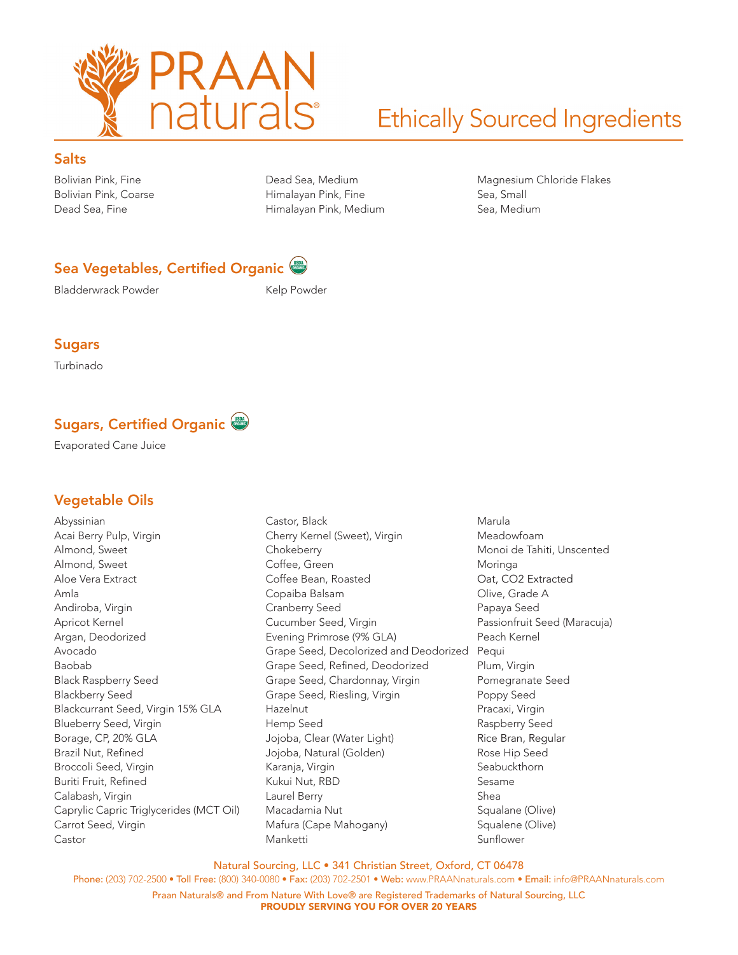

#### **Salts**

Bolivian Pink, Fine Bolivian Pink, Coarse Dead Sea, Fine

Dead Sea, Medium Himalayan Pink, Fine Himalayan Pink, Medium Magnesium Chloride Flakes Sea, Small Sea, Medium

### Sea Vegetables, Certified Organic

Bladderwrack Powder News Relp Powder

#### Sugars

Turbinado

### Sugars, Certified Organic

Evaporated Cane Juice

### Vegetable Oils

Abyssinian Acai Berry Pulp, Virgin Almond, Sweet Almond, Sweet Aloe Vera Extract Amla Andiroba, Virgin Apricot Kernel Argan, Deodorized Avocado Baobab Black Raspberry Seed Blackberry Seed Blackcurrant Seed, Virgin 15% GLA Blueberry Seed, Virgin Borage, CP, 20% GLA Brazil Nut, Refined Broccoli Seed, Virgin Buriti Fruit, Refined Calabash, Virgin Caprylic Capric Triglycerides (MCT Oil) Carrot Seed, Virgin Castor

Castor, Black Cherry Kernel (Sweet), Virgin **Chokeberry** Coffee, Green Coffee Bean, Roasted Copaiba Balsam Cranberry Seed Cucumber Seed, Virgin Evening Primrose (9% GLA) Grape Seed, Decolorized and Deodorized Grape Seed, Refined, Deodorized Grape Seed, Chardonnay, Virgin Grape Seed, Riesling, Virgin Hazelnut Hemp Seed Jojoba, Clear (Water Light) Jojoba, Natural (Golden) Karanja, Virgin Kukui Nut, RBD Laurel Berry Macadamia Nut Mafura (Cape Mahogany) Manketti

Marula Meadowfoam Monoi de Tahiti, Unscented Moringa Oat, CO2 Extracted Olive, Grade A Papaya Seed Passionfruit Seed (Maracuja) Peach Kernel Pequi Plum, Virgin Pomegranate Seed Poppy Seed Pracaxi, Virgin Raspberry Seed Rice Bran, Regular Rose Hip Seed Seabuckthorn Sesame Shea Squalane (Olive) Squalene (Olive) Sunflower

Natural Sourcing, LLC • 341 Christian Street, Oxford, CT 06478

Phone: (203) 702-2500 • Toll Free: (800) 340-0080 • Fax: (203) 702-2501 • Web: www.PRAANnaturals.com • Email: info@PRAANnaturals.com